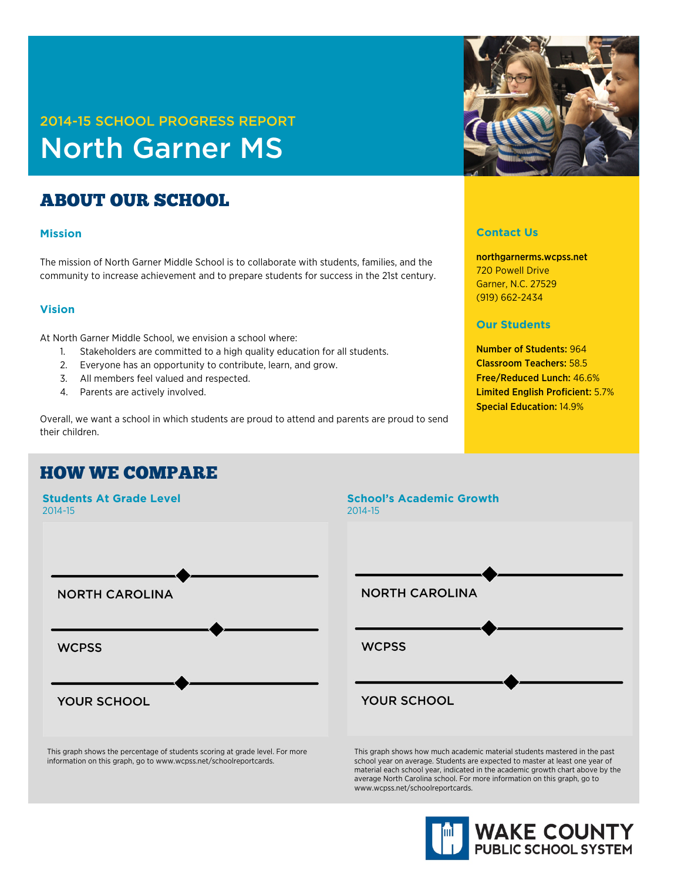# 2014-15 SCHOOL PROGRESS REPORT North Garner MS

## ABOUT OUR SCHOOL

#### **Mission**

The mission of North Garner Middle School is to collaborate with students, families, and the community to increase achievement and to prepare students for success in the 21st century.

#### **Vision**

At North Garner Middle School, we envision a school where:

- 1. Stakeholders are committed to a high quality education for all students.
- 2. Everyone has an opportunity to contribute, learn, and grow.
- 3. All members feel valued and respected.
- 4. Parents are actively involved.

Overall, we want a school in which students are proud to attend and parents are proud to send their children.

### HOW WE COMPARE



This graph shows the percentage of students scoring at grade level. For more information on this graph, go to www.wcpss.net/schoolreportcards.



#### **Contact Us**

northgarnerms.wcpss.net 720 Powell Drive Garner, N.C. 27529 (919) 662-2434

#### **Our Students**

Number of Students: 964 Classroom Teachers: 58.5 Free/Reduced Lunch: 46.6% Limited English Proficient: 5.7% Special Education: 14.9%



This graph shows how much academic material students mastered in the past school year on average. Students are expected to master at least one year of material each school year, indicated in the academic growth chart above by the average North Carolina school. For more information on this graph, go to www.wcpss.net/schoolreportcards.